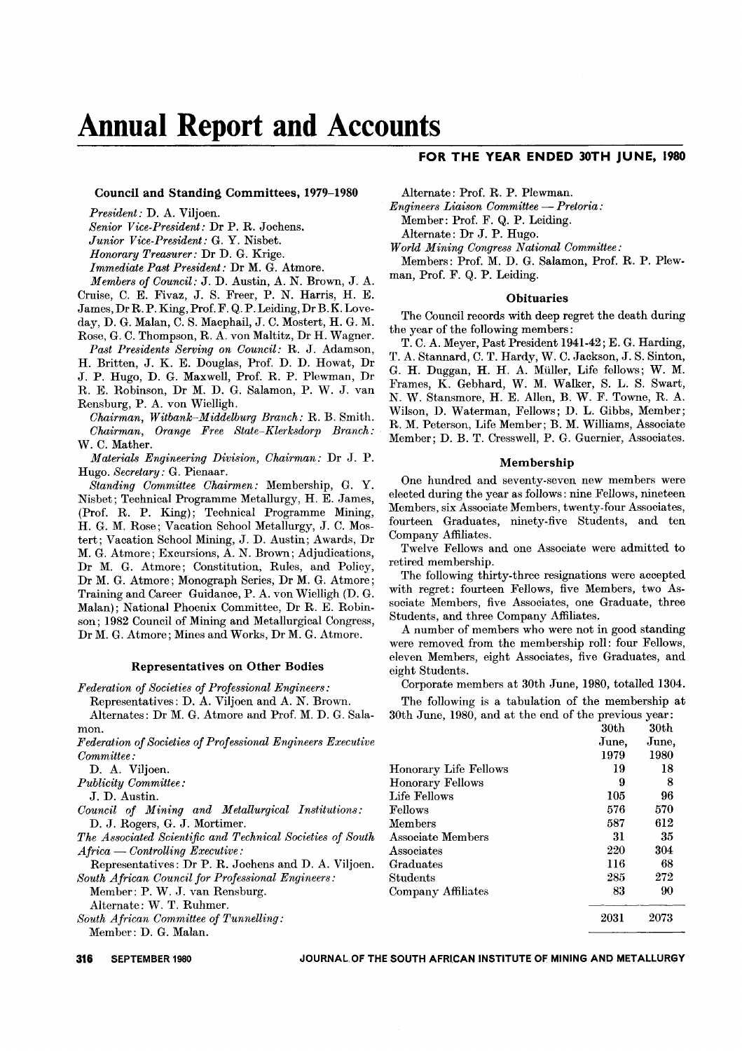# **Annual Report and Accounts**

#### Council and Standing Committees, 1979-1980

*President:* D. A. Viljoen. *Senior Vice-President:* Dr P. R. Jochens. *Junior Vice-President:* G. Y. Nisbet. *Honorary Treasurer:* Dr D. G. Krige. *Immediate Past President:* Dr M. G. Atmore. *Members of Council:* J. D. Austin, A. N. Brown, J. A. Cruise, C. E. Fivaz, J. S. Freer, P. N. Harris, H. E. James, Dr R. P. King,Prof. F. Q. P.Leiding, Dr B.K. Loveday, D. G. Malan, C. S. Macphail, J. C. Mostert, H. G. M.

Rose, G. C. Thompson, R. A. von Maltitz, Dr H. Wagner. *Past Presidents Serving on Council:* R. J. Adamson, H. Britten, J. K. E. Douglas, Prof. D. D. Howat, Dr J. P. Hugo, D. G. Maxwell, Prof. R. P. Plewman, Dr

R. E. Robinson, Dr M. D. G. Salamon, P. W. J. van Rensburg, P. A. von Wielligh.

*Chairman, Witbank-Middelburg Branch:* R. B. Smith. *Chairman, Orange Free State-Klerksdorp Branch:* W. C. Mather.

*Materials Engineering Division, Chairman:* Dr J. P. Hugo. *Secretary:* G. Pienaar.

*Standing Committee Chairmen:* Membership, G. Y. Nisbet; Technical Programme Metallurgy, H. E. James, (Prof. R. P. King); Technical Programme Mining, H. G. M. Rose; Vacation School Metallurgy, J. C. Mostert; Vacation School Mining, J. D. Austin; Awards, Dr M. G. Atmore; Excursions, A. N. Brown; Adjudications, Dr M. G. Atmore; Constitution, Rules, and Policy, Dr M. G. Atmore; Monograph Series, Dr M. G. Atmore; Training and Career Guidance, P. A. von Wielligh (D. G. Malan); National Phoenix Committee, Dr R. E. Robinson; 1982 Council of Mining and Metallurgical Congress, Dr M. G. Atmore; Mines and Works, Dr M. G. Atmore.

#### Representatives on Other Bodies

*Federation of Societies of Professional Engineers:*

Representatives: D. A. Viljoen and A. N. Brown. Alternates: Dr M. G. Atmore and Prof. M. D. G. Sala-

mon. *Federation of Societies of Professional Engineers Executive Committee:*

D. A. Viljoen.

*Publicity Committee:*

J. D. Austin.

*Council of Mining and Metallurgical Institutions:* D. J. Rogers, G. J. Mortimer.

*The Associated Scientific and Technical Societies of South Africa* - *Controlling Executive:*

Representatives: Dr P. R. Jochens and D. A. Viljoen. *South African Council for Professional Engineers:*

Member: P. W. J. van Rensburg.

Alternate: W. T. Ruhmer.

*South African Committee of Tunnelling:* Member: D. G. Malan.

**316** SEPTEMBER 1980 JOURNAL OF THE SOUTH AFRICAN INSTITUTE OF MINING AND METALLURGY

# **FOR THE YEAR ENDED 30TH JUNE, 1980**

Alternate: Prof. R. P. Plewman.

*Engineers Liaison Committee* - *Pretoria:* Member: Prof. F. Q. P. Leiding.

Alternate: Dr J. P. Hugo.

*World Mining Congress National Committee:*

Members: Prof. M. D. G. Salamon, Prof. R. P. Plewman, Prof. F. Q. P. Leiding.

#### **Obituaries**

The Council records with deep regret the death during the year of the following members:

T. C. A. Meyer, Past President 1941-42; E. G. Harding, T. A. Stannard, C. T. Hardy, W. C. Jackson, J. S. Sinton, G. H. Duggan, H. H. A. Muller, Life fellows; W. M. Frames, K. Gebhard, W. M. Walker, S. L. S. Swart, N. W. Stansmore, H. E. AlIen, B. W. F. Towne, R. A. Wilson, D. Waterman, Fellows; D. L. Gibbs, Member; R. M. Peterson, Life Member; B. M. Williams, Associate Member; D. B. T. Cresswell, P. G. Guernier, Associates.

#### Membership

One hundred and seventy-seven new members were elected during the year as follows: nine Fellows, nineteen Members, six Associate Members, twenty-four Associates, fourteen Graduates, ninety-five Students, and ten Company Affiliates.

Twelve Fellows and one Associate were admitted to retired membership.

The following thirty-three resignations were accepted with regret: fourteen Fellows, five Members, two Associate Members, five Associates, one Graduate, three Students, and three Company Affiliates.

A number of members who were not in good standing were removed from the membership roll: four Fellows, eleven Members, eight Associates, five Graduates, and eight Students.

Corporate members at 30th June, 1980, totalled 1304.

The following is a tabulation of the membership at 30th June, 1980, and at the end of the previous year:

|                         | 30 <sub>th</sub> | 30 <sub>th</sub> |
|-------------------------|------------------|------------------|
|                         | June,            | June,            |
|                         | 1979             | 1980             |
| Honorary Life Fellows   | 19               | 18               |
| <b>Honorary Fellows</b> | 9                | 8                |
| Life Fellows            | 105              | 96               |
| Fellows                 | 576              | 570              |
| Members                 | 587              | 612              |
| Associate Members       | 31               | 35               |
| Associates              | 220              | 304              |
| Graduates               | 116              | 68               |
| Students                | 285              | 272              |
| Company Affiliates      | 83               | 90               |
|                         | 2031             | 2073             |
|                         |                  |                  |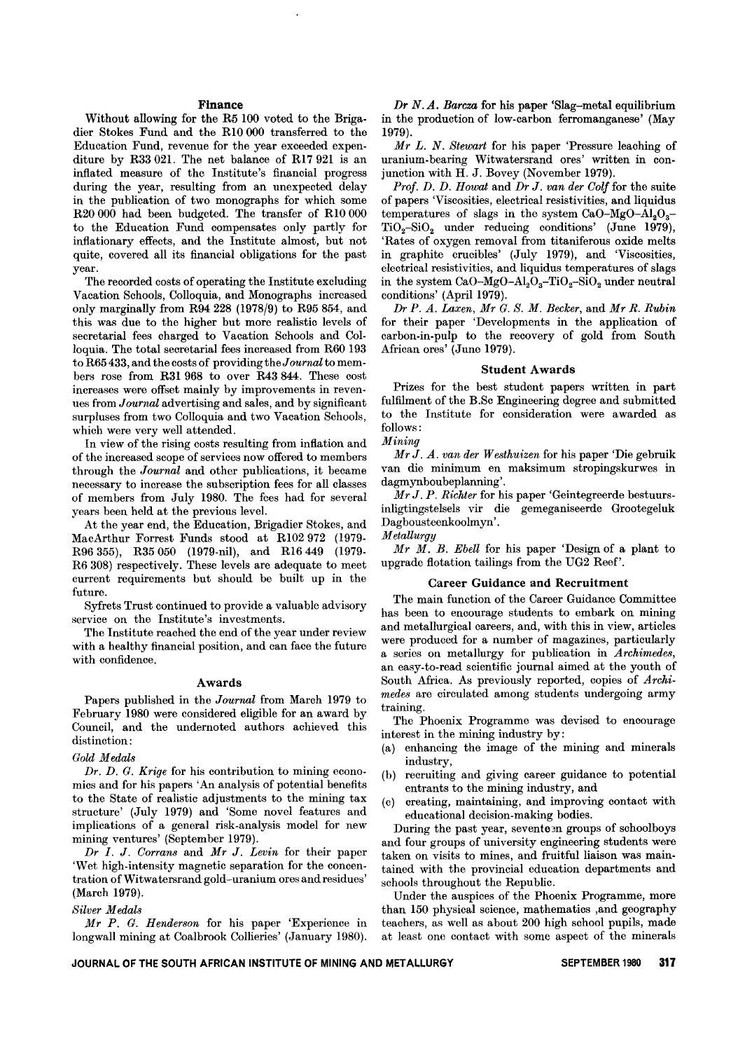#### Finance

Without allowing for the R5 100 voted to the Brigadier Stokes Fund and the RIO 000 transferred to the Education Fund, revenue for the year exceeded expenditure by R33 021. The net balance of R17 921 is an inflated measure of the Institute's financial progress during the year, resulting from an unexpected delay in the publication of two monographs for which some R20 000 had been budgeted. The transfer of RIO 000 to the Education Fund compensates only partly for inflationary effects, and the Institute almost, but not quite, covered all its financial obligations for the past year.

The recorded costs of operating the Institute excluding Vacation Schools, Colloquia, and Monographs increased only marginally from R94228 (1978/9) to R95 854, and this was due to the higher but more realistio levels of seoretarial fees oharged to Vaoation Schools and Colloquia. The total secretarial fees increased from R60 193 to R65 433, and the oosts of providing the *Journal* to members rose from R31 968 to over R43 844. These oost increases were offset mainly by improvements in revenues from *Journal* advertising and sales, and by significant surpluses from two Colloquia and two Vacation Schools, whioh were very well attended.

In view of the rising oosts resulting from inflation and of the inoreased soope of servioes now offered to members through the *Journal* and other publications, it beoame necessary to increase the subscription fees for all classes of members from July 1980. The fees had for several years been held at the previous level.

At the year end, the Education, Brigadier Stokes, and MaoArthur Forrest Funds stood at R1O2972 (1979- R96 355), R35050 (1979-nil), and R16449 (1979. R6308) respectively. These levels are adequate to meet current requirements but should be built up in the future.

Syfrets Trust continued to provide a valuable advisory service on the Institute's investments.

The Institute reached the end of the year under review with a healthy financial position, and can face the future with confidence.

#### Awards

Papers published in the *Journal* from March 1979 to February 1980 were considered eligible for an award by Council, and the undernoted authors achieved this distinction:

#### *Gold Medals*

*Dr. D. G. Krige* for his contribution to mining economios and for his papers 'An analysis of potential benefits to the State of realistic adjustments to the mining tax structure' (July 1979) and 'Some novel features and implications of a general risk-analysis model for new mining ventures' (September 1979).

*Dr I. J. Corrans* and *Mr J. Levin* for their paper 'Wet high-intensity magnetio separation for the concentration of Witwaters rand gold-uranium ores and residues' (March 1979).

#### *Silver Medals*

*Mr P. G. Henderson* for his paper 'Experience in longwall mining at Coalbrook Collieries' (January 1980).

*Dr N. A. Barcza* for his paper 'Slag-metal equilibrium in the production of low-carbon ferromanganese' (May 1979).

*Mr L. N. Stewart* for his paper 'Pressure leaohing of uranium-bearing Witwatersrand ores' written in oonjunction with H. J. Bovey (November 1979).

*Prof. D. D. Howat* and *Dr J. van der Colf* for the suite of papers 'Visoosities, electrical resistivities, and liquidus temperatures of slags in the system  $CaO-MgO-Al<sub>2</sub>O<sub>3</sub>$  $TiO<sub>2</sub>-SiO<sub>2</sub>$  under reducing conditions' (June 1979), 'Rates of oxygen removal from titaniferous oxide melts in graphite cruoibles' (July 1979), and 'Viscosities, eleotrical resistivities, and liquidus temperatures of slags in the system  $CaO-MgO-Al<sub>2</sub>O<sub>3</sub>-TiO<sub>2</sub>-SiO<sub>2</sub>$  under neutral conditions' (April 1979).

*Dr P. A. Laxen, Mr G. S. M. Becker,* and *Mr R. Rubin* for their paper 'Developments in the application of carbon-in-pulp to the reoovery of gold from South African ores' (June 1979).

#### Student Awards

Prizes for the best student papers written in part fulfilment of the B.Sc Engineering degree and submitted to the Institute for consideration were awarded as follows:

#### *Mining*

*MrJ. A. van der Westhuizen* for his paper 'Die gebruik van die minimum en maksimum stropingskurwes in dagmynboubeplanning'.

*Mr J. P. Richter* for his paper 'Geintegreerde bestuursinligtingstelsels vir die gemeganiseerde Grootegeluk Dagbousteenkoolmyn'.

*Metallurgy*

Mr M. B. *Ebell* for his paper 'Design of a plant to upgrade flotation tailings from the UG2 Reef'.

# Career Guidance and Recruitment

The main function of the Career Guidance Committee has been to encourage students to embark on mining and metallurgical careers, and, with this in view, artioles were produced for a number of magazines, particularly a series on metallurgy for publication in *Archimedes,* an easy-to-read scientific journal aimed at the youth of South Africa. As previously reported, copies of *Archimedes* are circulated among students undergoing army training.

The Phoenix Programme was devised to encourage interest in the mining industry by:

- (a) enhancing the image of the mining and minerals industry,
- (b) recruiting and giving career guidance to potential entrants to the mining industry, and
- (c) creating, maintaining, and improving contact with educational decision-making bodies.

During the past year, seventeen groups of schoolboys and four groups of university engineering students were taken on visits to mines, and fruitful liaison was maintained with the provincial education departments and schools throughout the Republic.

Under the auspices of the Phoenix Programme, more than 150 physical science, mathematics ,and geography teachers, as well as about 200 high school pupils, made at least one contact with some aspect of the minerals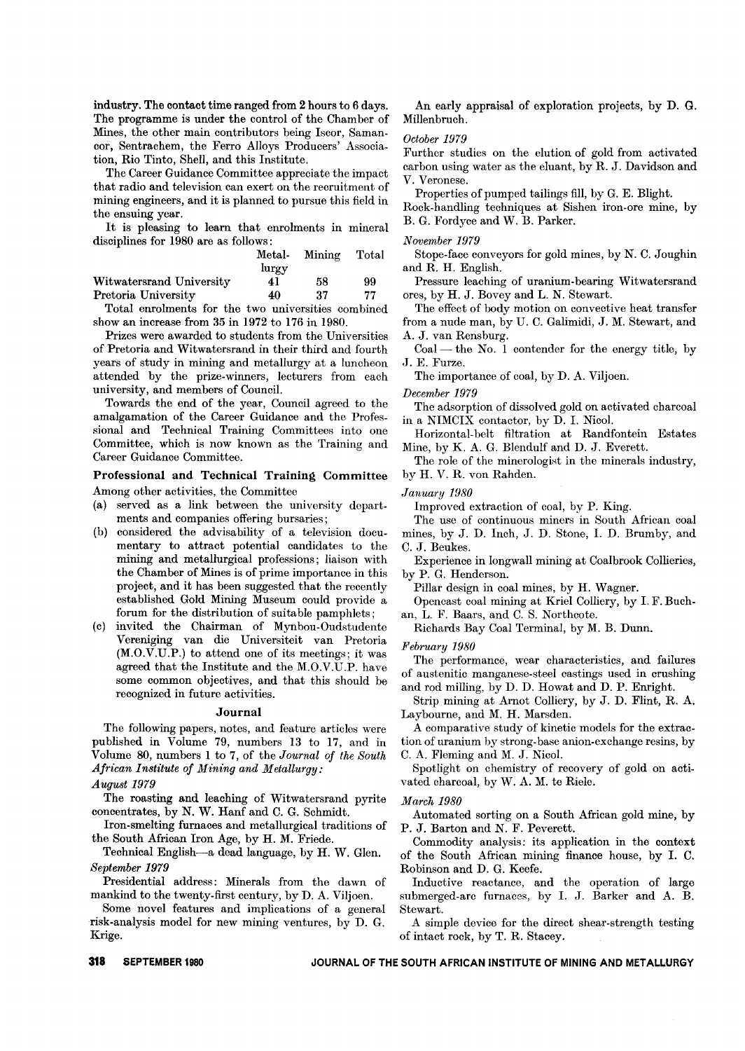industry. The contact time ranged from 2 hours to 6 days. The programme is under the control of the Chamber of Mines, the other main contributors being Iscor, Samancor, Sentrachem, the Ferro Alloys Producers' Association, Rio Tinto, Shell, and this Institute.

The Career Guidance Committee appreciate the impact that radio and television can exert on the recruitment of mining engineers, and it is planned to pursue this field in the ensuing year.

It is pleasing to learn that enrolments in mineral disciplines for 1980 are as follows:

|                             |       | Metal- Mining Total |    |
|-----------------------------|-------|---------------------|----|
|                             | lurgy |                     |    |
| Witwatersrand University    | 41    | 58                  | 99 |
| Pretoria University         | 40    | -37                 | 77 |
| $\mathbf{m}$ . $\mathbf{r}$ |       |                     |    |

Total enrolments for the two universities combined show an increase from 35 in 1972 to 176 in 1980.

Prizes were awarded to students from the Universities of Pretoria and Witwatersrand in their third and fourth years of study in mining and metallurgy at a luncheon attended by the prize-winners, lecturers from each university, and members of Council.

Towards the end of the year, Council agreed to the amalgamation of the Career Guidance and the Professional and Technical Training Committees into one Committee, which is now known as the Training and Career Guidance Committee.

Professional and Technical Training Committee Among other activities, the Committee

- (a) served as a link between the university departments and companies offering bursaries;
- (b) considered the advisability of a television documentary to attract potential candidates to the mining and metallurgical professions; liaison with the Chamber of Mines is of prime importance in this project, and it has been suggested that the recently established Gold Mining Museum could provide a forum for the distribution of suitable pamphlets;
- (c) invited the Chairman of Mynbou-Oudstudente Vereniging van die Universiteit van Pretoria (M.O.V.U.P.) to attend one of its meetings; it was agreed that the Institute and the M.O.V.U.P. have some common objectives, and that this should be recognized in future activities.

#### Journal

The following papers, notes, and feature articles were published in Volume 79, numbers 13 to 17, and in Volume 80, numbers 1 to 7, of the *Journal of the South African Institute of Mining and Metallurgy:*

*August* 1979

The roasting and leaching of Witwatersrand pyrite concentrates, by N. W. Hanf and C. G. Schmidt.

Iron-smelting furnaces and metallurgical traditions of the South African Iron Age, by H. M. Friede.

Technical English-a dead language, by H. W. Glen. *September* 1979

Presidential address: Minerals from the dawn of mankind to the twenty-first century, by D. A. Viljoen.

Some novel features and implications of a general risk-analysis model for new mining ventures, by D. G. Krige.

An early appraisal of exploration projects, by D. G. Millenbruch.

#### *October* 1979

:Further studies on the elution of gold from activated carbon using water as the eluant, by R. J. Davidson and V. Veronese.

Properties of pumped tailings fill, by G. E. Blight.

Rock-handling techniques at Sishen iron-ore mine, by B. G. Fordyce and W. B. Parker.

*November* 1979

Stope-face conveyors for gold mines, by N. C. Joughin and R. H. English.

Pressure leaching of uranium-bearing Witwatersrand ores, by H. J. Bovey and L. N. Stewart.

The effect of body motion on convective heat transfer from a nude man, by U. C. Galimidi, J. M. Stewart, and A. J. van Rensburg.

 $Coal$ — the No. 1 contender for the energy title, by J. E. Furze.

The importance of coal, by D. A. Viljoen.

*December* 1979

The adsorption of dissolved gold on activated charcoal in a NIMCIX contactor, by D. I. Nicol.

Horizontal- belt filtration at Randfontein Estates Mine, by K. A. G. Blendulf and D. J. Everett.

The role of the minerologist in the minerals industry, by H. V. R. von Rahden.

*January 1980*

Improved extraction of coal, by P. King.

The use of continuous miners in South African coal mines, by J. D. Inch, J. D. Stone, I. D. Brumby, and C. J. Beukes.

Experience in longwall mining at Coalbrook Collieries, by P. G. Henderson.

Pillar design in coal mines, by H. Wagner.

Opencast coal mining at Kriel Colliery, by I. F. Buchan, L. F. Baars, and C. S. Northcote.

Richards Bay Coal Terminal, by M. B. Dunn.

*February 1980*

The performance, wear characteristics, and failures of austenitic manganese-steel castings used in crushing and rod milling, by D. D. Howat and D. P. Enright.

Strip mining at Arnot Colliery, by J. D. Flint, R. A. Laybourne, and M. H. Marsden.

A comparative study of kinetic models for the extraction of uranium by strong-base anion-exchange resins, by C. A. Fleming and M. J. Nicol.

Spotlight on chemistry of recovery of gold on activated charcoal, by W. A. M. te Riele.

#### *March 1980*

Automated sorting on a South African gold mine, by P. J. Barton and N. F. Peverett.

Commodity analysis: its application in the context of the South African mining finance house, by I. C. Robinson and D. G. Keefe.

Inductive reactance, and the operation of large submerged-arc furnaces, by I. J. Barker and A. B. Stewart.

A simple device for the direct shear-strength testing of intact rock, by T. R. Stacey.

**318 SEPTEMBER 1980 JOURNAL OF THE SOUTH AFRICAN INSTITUTE OF MINING AND METALLURGY**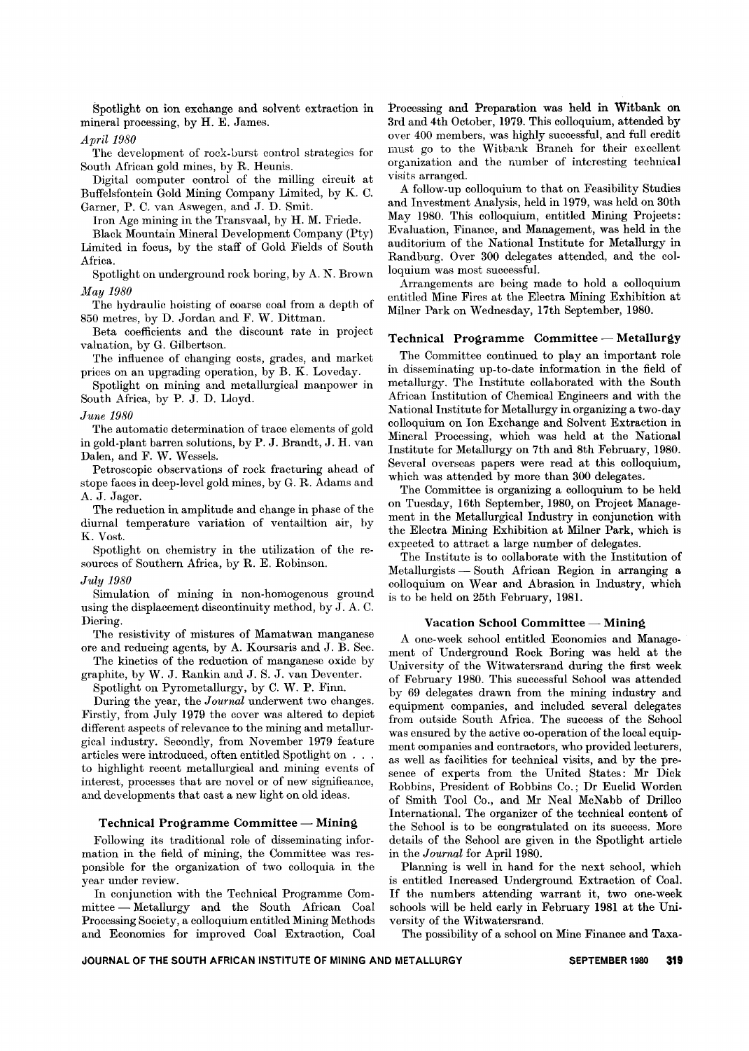Spotlight on ion exchange and solvent extraction in mineral processing, by H. E. James.

*April 1980*

The development of rock-burst control strategies for South African gold mines, by R. Heunis.

Digital computer control of the milling circuit at Buffelsfontein Gold Mining Company Limited, by K. C. Garner, P. C. van Aswegen, and J. D. Smit.

Iron Age mining in the Transvaal, by H. M. Friede.

Black Mountain Mineral Development Company (Pty) Limited in focus, by the staff of Gold Fields of South Africa.

Spotlight on underground rock boring, by A. N. Brown *May 1980*

The hydraulic hoisting of coarse coal from a depth of 850 metres, by D. Jordan and F. W. Dittman.

Beta coefficients and the discount rate in project valuation, by G. Gilbertson.

The influence of changing costs, grades, and market prices on an upgrading operation, by B. K. Loveday.

Spotlight on mining and metallurgical manpower in South Africa, by P. J. D. Lloyd.

*June 1980*

The automatic determination of trace elements of gold in gold-plant barren solutions, by P. J. Brandt, J. H. van Dalen, and F. W. Wessels.

Petroscopic observations of rock fracturing ahead of stope faces in deep-level gold mines, by G. R. Adams and A. J. Jager.

The reduction in amplitude and change in phase of the diurnal temperature variation of ventailtion air, by K. Vost.

Spotlight on chemistry in the utilization of the resources of Southern Africa, by R. E. Robinson.

#### *July 1980*

Simulation of mining in non-homogenous ground using the displacement discontinuity method, by J. A. C. Diering.

The resistivity of mistures of Mamatwan manganese ore and reducing agents, by A. Koursaris and J. B. See.

The kinetics of the reduction of manganese oxide by graphite, by W. J. Rankin and J. S. J. van Deventer.

Spotlight on Pyrometallurgy, by C. W. P. Finn.

During the year, the *Jourual* underwent two changes. :Firstly, from July 1979 the cover was altered to depict different aspects of relevance to the mining and metallurgical industry. Secondly, from November 1979 feature articles were introduced, often entitled Spotlight on . . . to highlight recent metallurgical and mining events of interest, processes that are novel or of new significance, and developments that cast a new light on old ideas.

### Technical Programme Committee - Mining

Following its traditional role of disseminating information in the field of mining, the Committee was responsible for the organization of two colloquia in the year under review.

In conjunction with the Technical Programme Committee - Metallurgy and the South African Coal Processing Society, a colloquium entitled Mining Methods and Economics for improved Coal Extraction, Coal Processing and Preparation was held in Witbank on 3rd and 4th October, 1979. This colloquium, attended by over 400 members, was highly successful, and full credit must go to the Witbank Branch for their excellent organization and the number of interesting technical visits arranged.

A follow-up colloquium to that on Feasibility Studies and Investment Analysis, held in 1979, was held on 30th May 1980. This colloquium, entitled Mining Projects: Evaluation, Finance, and Management, was held in the auditorium of the National Institute for Metallurgy in Randburg. Over 300 delegates attended, and the colloquium was most successful.

Arrangements are being made to hold a colloquium entitled Mine Fires at the Electra Mining Exhibition at Milner Park on Wednesday, 17th September, 1980.

# Technical Programme Committee - Metallurgy

The Committee continued to play an important role in disseminating up-to-date information in the field of metallurgy. The Institute collaborated with the South African Institution of Chemical Engineers and with the National Institute for Metallurgy in organizing a two-day colloquium on Ion Exchange and Solvent Extraction in Mineral Processing, which was held at the National Institute for Metallurgy on 7th and 8th February, 1980. Several overseas papers were read at this colloquium, which was attended by more than 300 delegates.

The Committee is organizing a colloquium to be held on Tuesday, 16th September, 1980, on Project Management in the Metallurgical Industry in conjunction with the Electra Mining Exhibition at Milner Park, which is expected to attract a large number of delegates.

The Institute is to collaborate with the Institution of Metallurgists - South African Region in arranging a colloquium on Wear and Abrasion in Industry, which is to he held on 25th February, 1981.

#### Vacation School Committee - Mining

A one-week school entitled Economics and Management of Underground Rock Boring was held at the University of the Witwatersrand during the first week of February 1980. This successful School was attended by 69 delegates drawn from the mining industry and equipment companies, and included several delegates from outside South Africa. The success of the School was ensured by the active co-operation of the local equipment companies and contractors, who provided lecturers, as well as facilities for technical visits, and by the presence of experts from the United States: Mr Dick Robbins, President of Robbins Co.; Dr Euclid Worden of Smith Tool Co., and Mr Neal McNabb of Drillco International. The organizer of the technical content of the School is to be congratulated on its success. More details of the School are given in the Spotlight article in the *Journal* for April 1980.

Planning is well in hand for the next school, which is entitled Increased Underground Extraction of Coal. If the numbers attending warrant it, two one-week schools will be held early in February 1981 at the University of the Witwatersrand.

The possibility of a school on Mine Finance and Taxa-

JOURNAL OF THE SOUTH AFRICAN INSTITUTE OF MINING AND METALLURGY SEPTEMBER 1980 **319**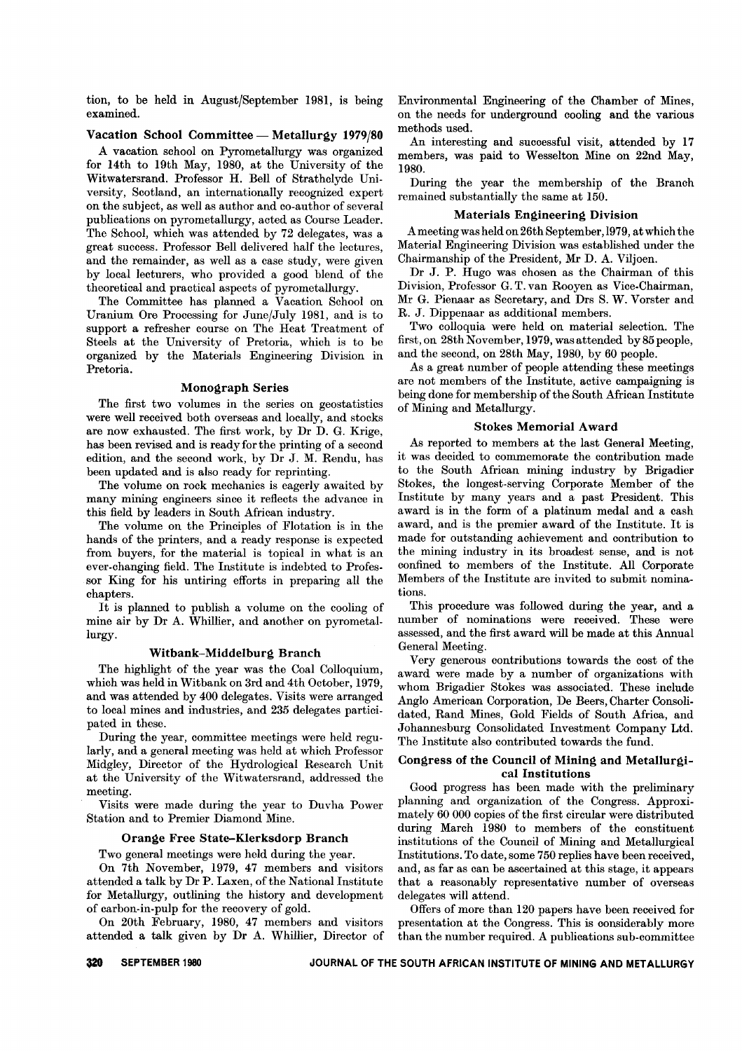tion, to be held in August/September 1981, is being examined.

# Vacation School Committee - Metallurgy 1979/80

A vacation school on Pyrometallurgy was organized for 14th to 19th May, 1980, at the University of the Witwatersrand. Professor H. Bell of Strathclyde University, Scotland, an internationally recognized expert on the subject, as well as author and co-author of several publications on pyrometallurgy, acted as Course Leader. The School, which was attended by 72 delegates, was a great success. Professor Bell delivered half the lectures, and the remainder, as well as a case study, were given by local lecturers, who provided a good blend of the theoretical and practical aspects of pyrometallurgy.

The Committee has planned a Vacation School on Uranium Ore Processing for June/July 1981, and is to support a refresher course on The Heat Treatment of Steels at the University of Pretoria, which is to be organized by the Materials Engineering Division in Pretoria.

#### Monograph Series

The first two volumes in the series on geostatistics were well received both overseas and locally, and stocks are now exhausted. The first work, by Dr D. G. Krige, has been revised and is ready for the printing of a second edition, and the second work, by Dr J. M. Rendu, has been updated and is also ready for reprinting.

The volume on rock mechanics is eagerly awaited by many mining engineers since it reflects the advance in this field by leaders in South African industry.

The volume on the Principles of Flotation is in the hands of the printers, and a ready response is expected from buyers, for the material is topical in what is an ever-changing field. The Institute is indebted to Professor King for his untiring efforts in preparing all the chapters.

It is planned to publish a volume on the cooling of mine air by Dr A. Whillier, and another on pyrometallurgy.

#### Witbank-Middelburg Branch

The highlight of the year was the Coal Colloquium, which was held in Witbank on 3rd and 4th October, 1979, and was attended by 400 delegates. Visits were arranged to local mines and industries, and 235 delegates participated in these.

During the year, committee meetings were held regularly, and a general meeting was held at which Professor Midgley, Director of the Hydrological Research Unit at the University of the Witwatersrand, addressed the meeting.

Visits were made during the year to Duvha Power Station and to Premier Diamond Mine.

#### Orange Free State-Klerksdorp Branch

Two general meetings were held during the year.

On 7th November, 1979, 47 members and visitors attended a talk by Dr P. Laxen, of the National Institute for Metallurgy, outlining the history and development of carbon-in-pulp for the recovery of gold.

On 20th February, 1980, 47 members and visitors attended a talk given by Dr A. Whillier, Director of Environmental Engineering of the Chamber of Mines, on the needs for underground cooling and the various methods used.

An interesting and successful visit, attended by 17 members, was paid to Wesselton Mine on 22nd May, 1980.

During the year the membership of the Branch remained substantially the same at 150.

# Materials Engineering Division

A meeting was held on 26th September, 1979, at which the Material Engineering Division was established under the Chairmanship of the President, Mr D. A. Viljoen.

Dr J. P. Hugo was chosen as the Chairman of this Division, Professor G. T. van Rooyen as Vice-Chairman, Mr G. Pienaar as Secretary, and Drs S. W. Vorster and R. J. Dippenaar as additional members.

Two colloquia were held on material selection. The first, on 28th November, 1979, was attended by 85 people, and the second, on 28th May, 1980, by 60 people.

As a great number of people attending these meetings are not members of the Institute, active campaigning is being done for membership of the South African Institute of Mining and Metallurgy.

#### Stokes Memorial Award

As reported to members at the last General Meeting, it was decided to commemorate the contribution made to the South African mining industry by Brigadier Stokes, the longest-serving Corporate Member of the Institute by many years and a past President. This award is in the form of a platinum medal and a cash award, and is the premier award of the Institute. It is made for outstanding achievement and contribution to the mining industry in its broadest sense, and is not confined to members of the Institute. All Corporate Members of the Institute are invited to submit nominations.

This procedure was followed during the year, and a number of nominations were received. These were assessed, and the first award will be made at this Annual General Meeting.

Very generous contributions towards the cost of the award were made by a number of organizations with whom Brigadier Stokes was associated. These include Anglo American Corporation, De Beers, Charter Consolidated, Rand Mines, Gold Fields of South Africa, and Johannesburg Consolidated Investment Company Ltd. The Institute also contributed towards the fund.

### Congress of the Council of Mining and Metallurgical Institutions

Good progress has been made with the preliminary planning and organization of the Congress. Approximately 60 000 copies of the first circular were distributed during March 1980 to members of the constituent institutions of the Council of Mining and Metallurgical Institutions. To date, some 750 replies have been received, and, as far as can be ascertained at this stage, it appears that a reasonably representative number of overseas delegates will attend.

Offers of more than 120 papers have been received for presentation at the Congress. This is considerably more than the number required. A publications sub-committee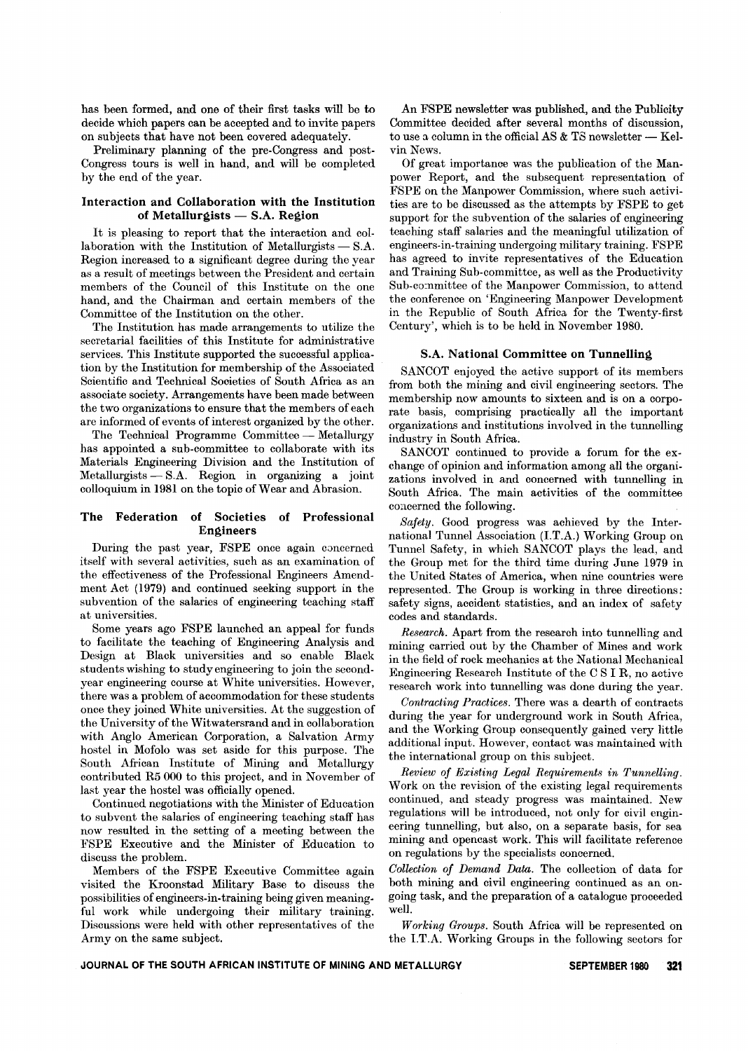has been formed, and one of their first tasks will be to decide which papers can be accepted and to invite papers on subjects that have not been covered adequately.

Preliminary planning of the pre-Congress and post-Congress tours is well in hand, and will be completed by the end of the year.

# Interaction and Collaboration with the Institution of Metallurgists  $-$  S.A. Region

It is pleasing to report that the interaction and col- $\frac{1}{2}$ aboration with the Institution of Metallurgists — S.A. Region increased to a significant degree during the year as a result of meetings between the President and certain members of the Council of this Institute on the one hand, and the Chairman and certain members of the Committee of the Institution on the other.

The Institution has made arrangements to utilize the secretarial facilities of this Institute for administrative services. This Institute supported the successful application by the Institution for membership of the Associated Scientific and Technical Societies of South Africa as an associate society. Arrangements have been made between the two organizations to ensure that the members of each are informed of events of interest organized by the other.

The Technical Programme Committee - Metallurgy has appointed a sub-committee to collaborate with its Materials Engineering Division and the Institution of  ${\rm Metallurgists}= {\rm S.A.}$  Region in organizing a join colloquium in 1981 on the topic of Wear and Abrasion.

# The Federation of Societies of Professional Engineers

During the past year, FSPE once again concerned itself with several activities, such as an examination of the effectiveness of the Professional Engineers Amendment Act (1979) and continued seeking support in the subvention of the salaries of engineering teaching staff at universities.

Some years ago FSPE launched an appeal for funds to facilitate the teaching of Engineering Analysis and Design at Black universities and so enable Black students wishing to study engineering to join the secondyear engineering course at White universities. However, there was a problem of accommodation for these students once they joined White universities. At the suggestion of the University of the Witwatersrand and in collaboration with Anglo American Corporation, a Salvation Army hostel in Mofolo was set aside for this purpose. The South African Institute of Mining and Metallurgy contributed R5 000 to this project, and in November of last year the hostel was officially opened.

Continued negotiations with the Minister of Education to subvent the salaries of engineering teaching staff has now resulted in the setting of a meeting between the FSPE Executive and the Minister of Education to discuss the problem.

Members of the FSPE Executive Committee again visited the Kroonstad Military Base to discuss the possibilities of engineers-in-training being given meaningful work while undergoing their military training. Discussions were held with other representatives of the Army on the same subject.

An FSPE newsletter was published, and the Publicity Committee decided after several months of discussion, to use a column in the official AS & TS newsletter — Kel vin News.

Of great importance was the publication of the Manpower Report, and the subsequent representation of FSPE on the Manpower Commission, where such activities are to be discussed as the attempts by FSPE to get support for the subvention of the salaries of engineering teaching staff salaries and the meaningful utilization of engineers-in-training undergoing military training. FSPE has agreed to invite representatives of the Education and Training Sub-committee, as well as the Productivity Sub-co:nmittee of the Manpower Commission, to attend the conference on 'Engineering Manpower Development in the Republic of South Africa for the Twenty-first Century', which is to be held in November 1980.

#### S.A. National Committee on Tunnelling

SANCOT enjoyed the active support of its members from both the mining and civil engineering sectors. The membership now amounts to sixteen and is on a corporate basis, comprising practically all the important organizations and institutions involved in the tunnelling industry in South Africa.

SANCOT continued to provide a forum for the exchange of opinion and information among all the organizations involved in and concerned with tunnelling in South Africa. The main activities of the committee concerned the following.

*Safety.* Good progress was achieved by the International Tunnel Association (LT.A.) Working Group on Tunnel Safety, in which SANCOT plays the lead, and the Group met for the third time during June 1979 in the United States of America, when nine countries were represented. The Group is working in three directions: safety signs, accident statistics, and an index of safety codes and standards.

*Research.* Apart from the research into tunnelling and mining carried out by the Chamber of Mines and work in the field of rock mechanics at the National Mechanical Engineering Research Institute of the C SIR, no active research work into tunnelling was done during the year.

*Contracting Practices.* There was a dearth of contracts during the year for underground work in South Africa, and the Working Group consequently gained very little additional input. However, contact was maintained with the international group on this subject.

*Review of Existing Legal Requirements in Tunnelling.* Work on the revision of the existing legal requirements continued, and steady progress was maintained. New regulations will be introduced, not only for civil engineering tunnelling, but also, on a separate basis, for sea mining and opencast work. This will facilitate reference on regulations by the specialists concerned.

*Collection of Demand Data.* The collection of data for both mining and civil engineering continued as an ongoing task, and the preparation of a catalogue proceeded well.

*Working Groups.* South Africa will be represented on the I.T.A. Working Groups in the following sectors for